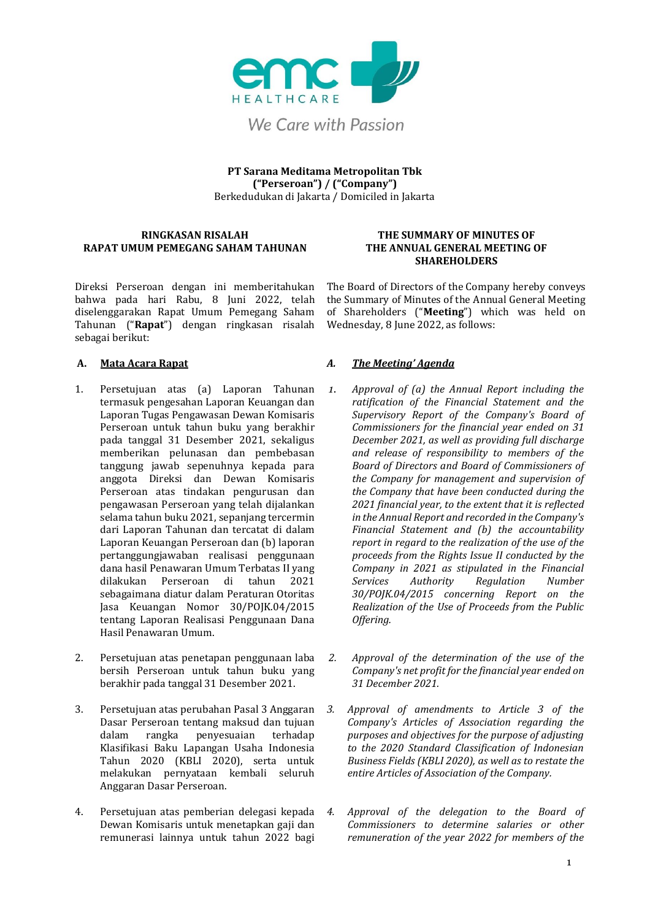

**PT Sarana Meditama Metropolitan Tbk ("Perseroan") / ("Company")** Berkedudukan di Jakarta / Domiciled in Jakarta

### **RINGKASAN RISALAH RAPAT UMUM PEMEGANG SAHAM TAHUNAN**

Direksi Perseroan dengan ini memberitahukan bahwa pada hari Rabu, 8 Juni 2022, telah diselenggarakan Rapat Umum Pemegang Saham Tahunan ("**Rapat**") dengan ringkasan risalah sebagai berikut:

- 1. Persetujuan atas (a) Laporan Tahunan termasuk pengesahan Laporan Keuangan dan Laporan Tugas Pengawasan Dewan Komisaris Perseroan untuk tahun buku yang berakhir pada tanggal 31 Desember 2021, sekaligus memberikan pelunasan dan pembebasan tanggung jawab sepenuhnya kepada para anggota Direksi dan Dewan Komisaris Perseroan atas tindakan pengurusan dan pengawasan Perseroan yang telah dijalankan selama tahun buku 2021, sepanjang tercermin dari Laporan Tahunan dan tercatat di dalam Laporan Keuangan Perseroan dan (b) laporan pertanggungjawaban realisasi penggunaan dana hasil Penawaran Umum Terbatas II yang dilakukan Perseroan di tahun 2021 sebagaimana diatur dalam Peraturan Otoritas Jasa Keuangan Nomor 30/POJK.04/2015 tentang Laporan Realisasi Penggunaan Dana Hasil Penawaran Umum.
- 2. Persetujuan atas penetapan penggunaan laba bersih Perseroan untuk tahun buku yang berakhir pada tanggal 31 Desember 2021.
- 3. Persetujuan atas perubahan Pasal 3 Anggaran Dasar Perseroan tentang maksud dan tujuan dalam rangka penyesuaian terhadap Klasifikasi Baku Lapangan Usaha Indonesia Tahun 2020 (KBLI 2020), serta untuk melakukan pernyataan kembali seluruh Anggaran Dasar Perseroan.
- 4. Persetujuan atas pemberian delegasi kepada Dewan Komisaris untuk menetapkan gaji dan remunerasi lainnya untuk tahun 2022 bagi

### **THE SUMMARY OF MINUTES OF THE ANNUAL GENERAL MEETING OF SHAREHOLDERS**

The Board of Directors of the Company hereby conveys the Summary of Minutes of the Annual General Meeting of Shareholders ("**Meeting**") which was held on Wednesday, 8 June 2022, as follows:

### **A. Mata Acara Rapat** *A. The Meeting' Agenda*

- *1. Approval of (a) the Annual Report including the ratification of the Financial Statement and the Supervisory Report of the Company's Board of Commissioners for the financial year ended on 31 December 2021, as well as providing full discharge and release of responsibility to members of the Board of Directors and Board of Commissioners of the Company for management and supervision of the Company that have been conducted during the 2021 financial year, to the extent that it is reflected in the Annual Report and recorded in the Company's Financial Statement and (b) the accountability report in regard to the realization of the use of the proceeds from the Rights Issue II conducted by the Company in 2021 as stipulated in the Financial Services Authority Regulation Number 30/POJK.04/2015 concerning Report on the Realization of the Use of Proceeds from the Public Offering.*
- *2. Approval of the determination of the use of the Company's net profit for the financial year ended on 31 December 2021.*
- *3. Approval of amendments to Article 3 of the Company's Articles of Association regarding the purposes and objectives for the purpose of adjusting to the 2020 Standard Classification of Indonesian Business Fields (KBLI 2020), as well as to restate the entire Articles of Association of the Company.*
- *4. Approval of the delegation to the Board of Commissioners to determine salaries or other remuneration of the year 2022 for members of the*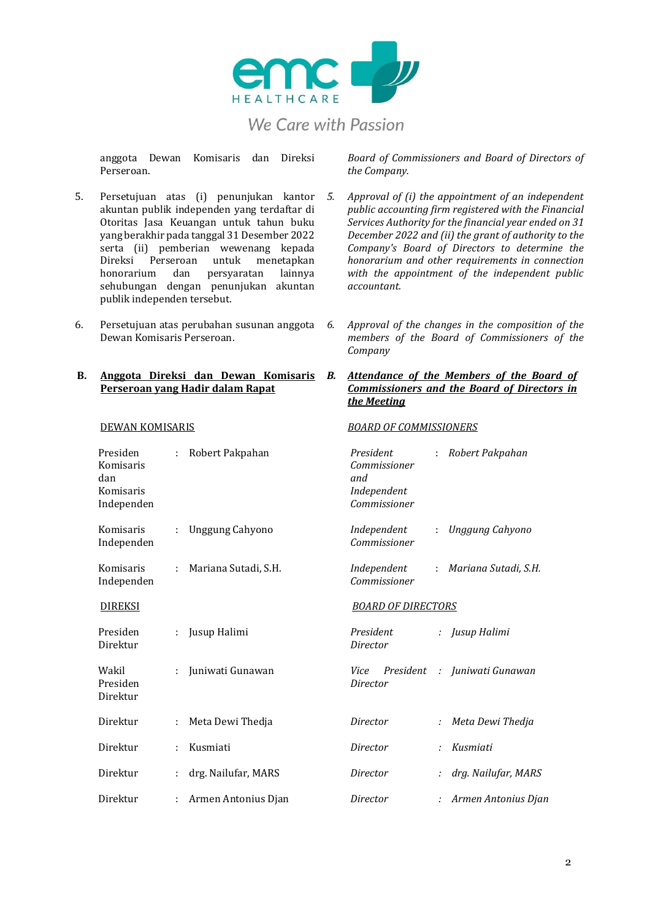

anggota Dewan Komisaris dan Direksi Perseroan.

- 5. Persetujuan atas (i) penunjukan kantor akuntan publik independen yang terdaftar di Otoritas Jasa Keuangan untuk tahun buku yang berakhir pada tanggal 31 Desember 2022 serta (ii) pemberian wewenang kepada Direksi Perseroan untuk menetapkan honorarium dan persyaratan lainnya sehubungan dengan penunjukan akuntan publik independen tersebut.
- 6. Persetujuan atas perubahan susunan anggota Dewan Komisaris Perseroan.

### **B. Anggota Direksi dan Dewan Komisaris Perseroan yang Hadir dalam Rapat**

Direktur : Armen Antonius Djan

| <b>DEWAN KOMISARIS</b>                                  |   |                      | <b>BOARD OF COMMISSIONERS</b>                                   |    |                              |  |
|---------------------------------------------------------|---|----------------------|-----------------------------------------------------------------|----|------------------------------|--|
| Presiden<br>Komisaris<br>dan<br>Komisaris<br>Independen |   | Robert Pakpahan      | President<br>Commissioner<br>and<br>Independent<br>Commissioner | ÷. | Robert Pakpahan              |  |
| Komisaris<br>Independen                                 | ÷ | Unggung Cahyono      | Independent<br>Commissioner                                     | ÷. | Unggung Cahyono              |  |
| Komisaris<br>Independen                                 | ÷ | Mariana Sutadi, S.H. | Independent<br>Commissioner                                     | ÷. | Mariana Sutadi, S.H.         |  |
| <b>DIREKSI</b>                                          |   |                      | <b>BOARD OF DIRECTORS</b>                                       |    |                              |  |
| Presiden<br>Direktur                                    |   | Jusup Halimi         | President<br>Director                                           |    | : Jusup Halimi               |  |
| Wakil<br>Presiden<br>Direktur                           |   | Juniwati Gunawan     | Vice<br>Director                                                |    | President : Juniwati Gunawan |  |
| Direktur                                                | ÷ | Meta Dewi Thedja     | Director                                                        |    | Meta Dewi Thedja             |  |
| Direktur                                                |   | Kusmiati             | Director                                                        |    | Kusmiati                     |  |
| Direktur                                                |   | drg. Nailufar, MARS  | Director                                                        |    | drg. Nailufar, MARS          |  |

*Board of Commissioners and Board of Directors of the Company.*

- *5. Approval of (i) the appointment of an independent public accounting firm registered with the Financial Services Authority for the financial year ended on 31 December 2022 and (ii) the grant of authority to the Company's Board of Directors to determine the honorarium and other requirements in connection with the appointment of the independent public accountant.*
	- *6. Approval of the changes in the composition of the members of the Board of Commissioners of the Company*

### *B. Attendance of the Members of the Board of Commissioners and the Board of Directors in the Meeting*

*Director : Armen Antonius Djan*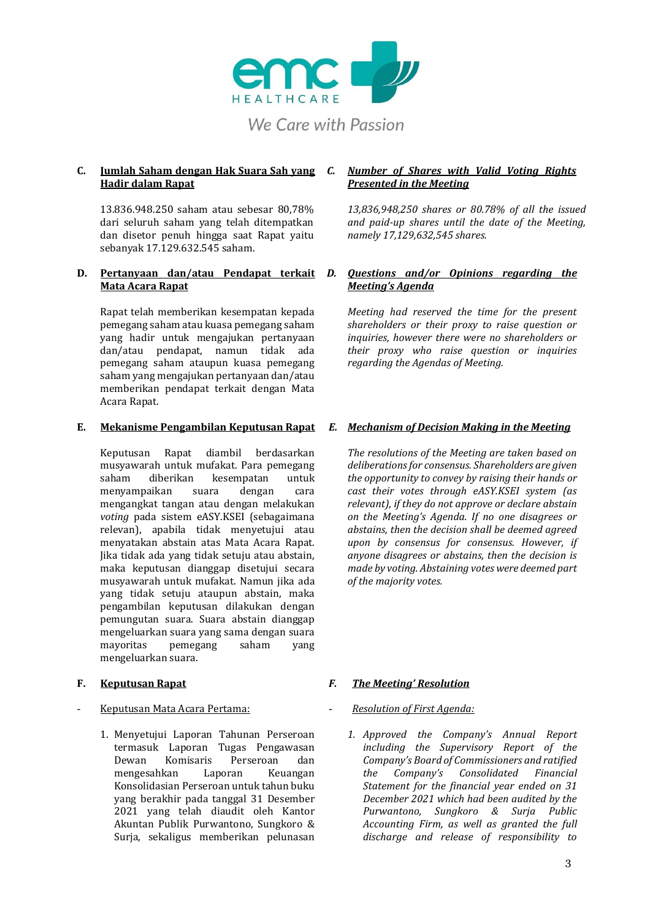

# **Hadir dalam Rapat**

13.836.948.250 saham atau sebesar 80,78% dari seluruh saham yang telah ditempatkan dan disetor penuh hingga saat Rapat yaitu sebanyak 17.129.632.545 saham.

### **D. Pertanyaan dan/atau Pendapat terkait Mata Acara Rapat**

Rapat telah memberikan kesempatan kepada pemegang saham atau kuasa pemegang saham yang hadir untuk mengajukan pertanyaan dan/atau pendapat, namun tidak ada pemegang saham ataupun kuasa pemegang saham yang mengajukan pertanyaan dan/atau memberikan pendapat terkait dengan Mata Acara Rapat.

Keputusan Rapat diambil berdasarkan musyawarah untuk mufakat. Para pemegang saham diberikan kesempatan untuk menyampaikan suara dengan cara mengangkat tangan atau dengan melakukan *voting* pada sistem eASY.KSEI (sebagaimana relevan), apabila tidak menyetujui atau menyatakan abstain atas Mata Acara Rapat. Jika tidak ada yang tidak setuju atau abstain, maka keputusan dianggap disetujui secara musyawarah untuk mufakat. Namun jika ada yang tidak setuju ataupun abstain, maka pengambilan keputusan dilakukan dengan pemungutan suara. Suara abstain dianggap mengeluarkan suara yang sama dengan suara mayoritas pemegang saham yang mengeluarkan suara.

### - Keputusan Mata Acara Pertama: - *Resolution of First Agenda:*

1. Menyetujui Laporan Tahunan Perseroan termasuk Laporan Tugas Pengawasan Dewan Komisaris Perseroan dan mengesahkan Laporan Keuangan Konsolidasian Perseroan untuk tahun buku yang berakhir pada tanggal 31 Desember 2021 yang telah diaudit oleh Kantor Akuntan Publik Purwantono, Sungkoro & Surja, sekaligus memberikan pelunasan

### **C. Jumlah Saham dengan Hak Suara Sah yang**  *C. Number of Shares with Valid Voting Rights Presented in the Meeting*

*13,836,948,250 shares or 80.78% of all the issued and paid-up shares until the date of the Meeting, namely 17,129,632,545 shares.*

### *D. Questions and/or Opinions regarding the Meeting's Agenda*

*Meeting had reserved the time for the present shareholders or their proxy to raise question or inquiries, however there were no shareholders or their proxy who raise question or inquiries regarding the Agendas of Meeting.*

### **E. Mekanisme Pengambilan Keputusan Rapat** *E. Mechanism of Decision Making in the Meeting*

*The resolutions of the Meeting are taken based on deliberations for consensus. Shareholders are given the opportunity to convey by raising their hands or cast their votes through eASY.KSEI system (as relevant), if they do not approve or declare abstain on the Meeting's Agenda. If no one disagrees or abstains, then the decision shall be deemed agreed upon by consensus for consensus. However, if anyone disagrees or abstains, then the decision is made by voting. Abstaining votes were deemed part of the majority votes.* 

### **F. Keputusan Rapat** *F. The Meeting' Resolution*

*1. Approved the Company's Annual Report including the Supervisory Report of the Company's Board of Commissioners and ratified the Company's Consolidated Financial Statement for the financial year ended on 31 December 2021 which had been audited by the Purwantono, Sungkoro & Surja Public Accounting Firm, as well as granted the full discharge and release of responsibility to*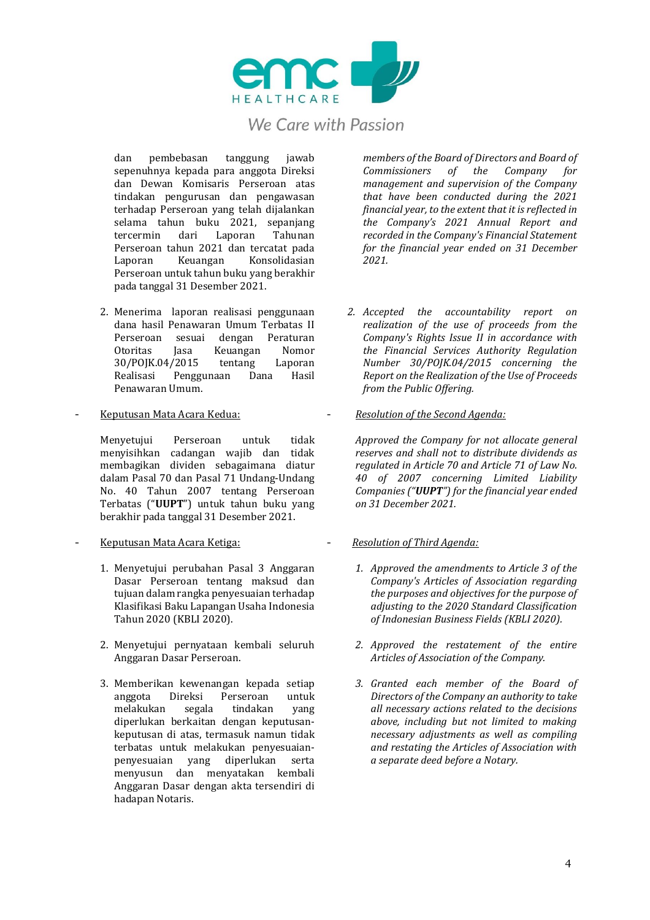

dan pembebasan tanggung jawab sepenuhnya kepada para anggota Direksi dan Dewan Komisaris Perseroan atas tindakan pengurusan dan pengawasan terhadap Perseroan yang telah dijalankan selama tahun buku 2021, sepanjang<br>tercermin dari Laporan Tahunan tercermin Perseroan tahun 2021 dan tercatat pada Laporan Keuangan Konsolidasian Perseroan untuk tahun buku yang berakhir pada tanggal 31 Desember 2021.

- 2. Menerima laporan realisasi penggunaan dana hasil Penawaran Umum Terbatas II Perseroan sesuai dengan Peraturan Otoritas Jasa Keuangan Nomor<br>30/POJK.04/2015 tentang Laporan 30/POJK.04/2015 tentang Realisasi Penggunaan Dana Hasil Penawaran Umum.
- 

Menyetujui Perseroan untuk tidak menyisihkan cadangan wajib dan tidak membagikan dividen sebagaimana diatur dalam Pasal 70 dan Pasal 71 Undang-Undang No. 40 Tahun 2007 tentang Perseroan Terbatas ("**UUPT**") untuk tahun buku yang berakhir pada tanggal 31 Desember 2021.

- Keputusan Mata Acara Ketiga: *Resolution of Third Agenda:*
	- 1. Menyetujui perubahan Pasal 3 Anggaran Dasar Perseroan tentang maksud dan tujuan dalam rangka penyesuaian terhadap Klasifikasi Baku Lapangan Usaha Indonesia Tahun 2020 (KBLI 2020).
	- 2. Menyetujui pernyataan kembali seluruh Anggaran Dasar Perseroan.
	- 3. Memberikan kewenangan kepada setiap anggota Direksi Perseroan untuk melakukan segala tindakan yang diperlukan berkaitan dengan keputusankeputusan di atas, termasuk namun tidak terbatas untuk melakukan penyesuaianpenyesuaian yang diperlukan serta menyusun dan menyatakan kembali Anggaran Dasar dengan akta tersendiri di hadapan Notaris.

*members of the Board of Directors and Board of Commissioners of the Company for management and supervision of the Company that have been conducted during the 2021 financial year, to the extent that it is reflected in the Company's 2021 Annual Report and recorded in the Company's Financial Statement for the financial year ended on 31 December 2021.*

- *2. Accepted the accountability report on realization of the use of proceeds from the Company's Rights Issue II in accordance with the Financial Services Authority Regulation Number 30/POJK.04/2015 concerning the Report on the Realization of the Use of Proceeds from the Public Offering.*
- Keputusan Mata Acara Kedua: *Resolution of the Second Agenda:*

*Approved the Company for not allocate general reserves and shall not to distribute dividends as regulated in Article 70 and Article 71 of Law No. 40 of 2007 concerning Limited Liability Companies ("UUPT") for the financial year ended on 31 December 2021.*

- *1. Approved the amendments to Article 3 of the Company's Articles of Association regarding the purposes and objectives for the purpose of adjusting to the 2020 Standard Classification of Indonesian Business Fields (KBLI 2020).*
- *2. Approved the restatement of the entire Articles of Association of the Company.*
- *3. Granted each member of the Board of Directors of the Company an authority to take all necessary actions related to the decisions above, including but not limited to making necessary adjustments as well as compiling and restating the Articles of Association with a separate deed before a Notary.*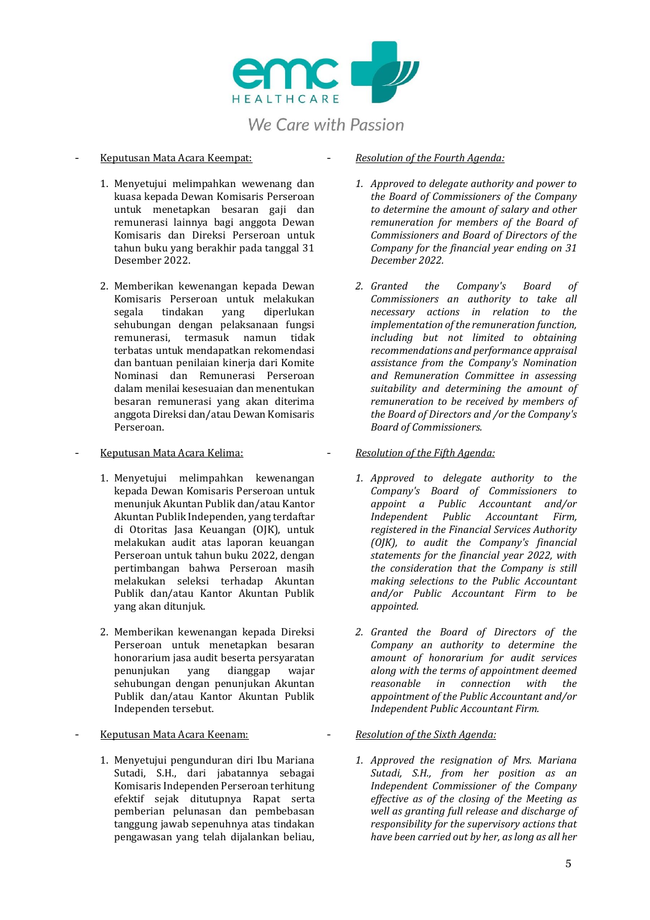

- 1. Menyetujui melimpahkan wewenang dan kuasa kepada Dewan Komisaris Perseroan untuk menetapkan besaran gaji dan remunerasi lainnya bagi anggota Dewan Komisaris dan Direksi Perseroan untuk tahun buku yang berakhir pada tanggal 31 Desember 2022.
- 2. Memberikan kewenangan kepada Dewan Komisaris Perseroan untuk melakukan segala tindakan yang diperlukan sehubungan dengan pelaksanaan fungsi remunerasi, termasuk namun tidak terbatas untuk mendapatkan rekomendasi dan bantuan penilaian kinerja dari Komite Nominasi dan Remunerasi Perseroan dalam menilai kesesuaian dan menentukan besaran remunerasi yang akan diterima anggota Direksi dan/atau Dewan Komisaris Perseroan.

- 1. Menyetujui melimpahkan kewenangan kepada Dewan Komisaris Perseroan untuk menunjuk Akuntan Publik dan/atau Kantor Akuntan Publik Independen, yang terdaftar di Otoritas Jasa Keuangan (OJK), untuk melakukan audit atas laporan keuangan Perseroan untuk tahun buku 2022, dengan pertimbangan bahwa Perseroan masih melakukan seleksi terhadap Akuntan Publik dan/atau Kantor Akuntan Publik yang akan ditunjuk.
- 2. Memberikan kewenangan kepada Direksi Perseroan untuk menetapkan besaran honorarium jasa audit beserta persyaratan penunjukan yang dianggap wajar sehubungan dengan penunjukan Akuntan Publik dan/atau Kantor Akuntan Publik Independen tersebut.

1. Menyetujui pengunduran diri Ibu Mariana Sutadi, S.H., dari jabatannya sebagai Komisaris Independen Perseroan terhitung efektif sejak ditutupnya Rapat serta pemberian pelunasan dan pembebasan tanggung jawab sepenuhnya atas tindakan pengawasan yang telah dijalankan beliau,

### - Keputusan Mata Acara Keempat: - *Resolution of the Fourth Agenda:*

- *1. Approved to delegate authority and power to the Board of Commissioners of the Company to determine the amount of salary and other remuneration for members of the Board of Commissioners and Board of Directors of the Company for the financial year ending on 31 December 2022.*
- *2. Granted the Company's Board of Commissioners an authority to take all necessary actions in relation to the implementation of the remuneration function, including but not limited to obtaining recommendations and performance appraisal assistance from the Company's Nomination and Remuneration Committee in assessing suitability and determining the amount of remuneration to be received by members of the Board of Directors and /or the Company's Board of Commissioners.*

### - Keputusan Mata Acara Kelima: - *Resolution of the Fifth Agenda:*

- *1. Approved to delegate authority to the Company's Board of Commissioners to appoint a Public Accountant and/or Independent Public Accountant Firm, registered in the Financial Services Authority (OJK), to audit the Company's financial statements for the financial year 2022, with the consideration that the Company is still making selections to the Public Accountant and/or Public Accountant Firm to be appointed.*
- *2. Granted the Board of Directors of the Company an authority to determine the amount of honorarium for audit services along with the terms of appointment deemed reasonable in connection with the appointment of the Public Accountant and/or Independent Public Accountant Firm.*
- Keputusan Mata Acara Keenam: *Resolution of the Sixth Agenda:*
	- *1. Approved the resignation of Mrs. Mariana Sutadi, S.H., from her position as an Independent Commissioner of the Company effective as of the closing of the Meeting as well as granting full release and discharge of responsibility for the supervisory actions that have been carried out by her, as long as all her*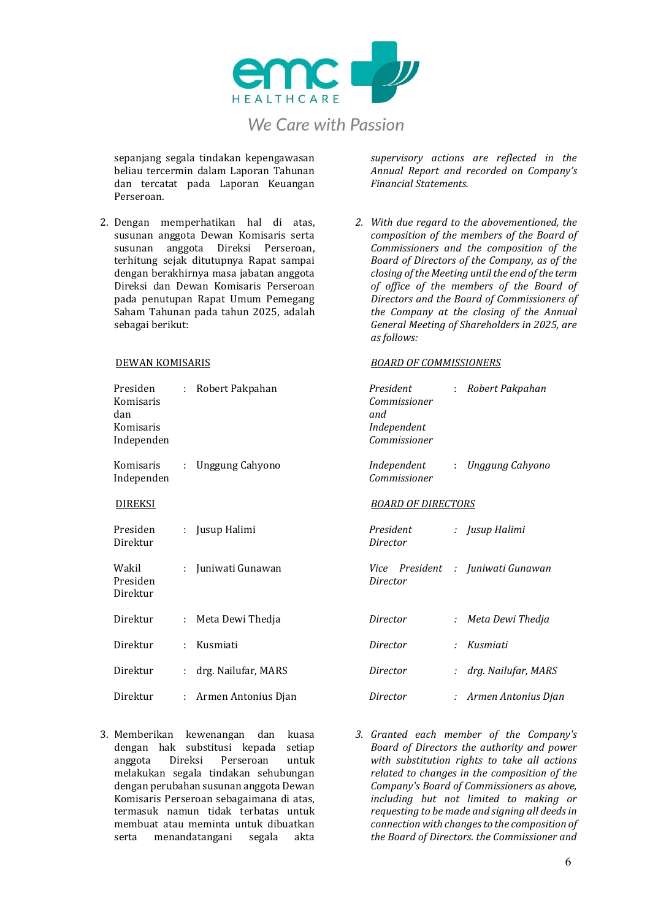

sepanjang segala tindakan kepengawasan beliau tercermin dalam Laporan Tahunan dan tercatat pada Laporan Keuangan Perseroan.

2. Dengan memperhatikan hal di atas, susunan anggota Dewan Komisaris serta susunan anggota Direksi Perseroan, terhitung sejak ditutupnya Rapat sampai dengan berakhirnya masa jabatan anggota Direksi dan Dewan Komisaris Perseroan pada penutupan Rapat Umum Pemegang Saham Tahunan pada tahun 2025, adalah sebagai berikut:

| Presiden<br>Komisaris<br>dan<br>Komisaris<br>Independen | : Robert Pakpahan |                                                | President<br>R<br>÷.<br>Commissioner<br>and<br>Independent<br>Commissioner |   |                |
|---------------------------------------------------------|-------------------|------------------------------------------------|----------------------------------------------------------------------------|---|----------------|
| Komisaris<br>Independen                                 | ÷                 | Unggung Cahyono<br>Independent<br>Commissioner |                                                                            |   | U              |
| <u>DIREKSI</u>                                          |                   |                                                | <b>BOARD OF DIRECTORS</b>                                                  |   |                |
| Presiden<br>Direktur                                    |                   | Jusup Halimi                                   | President<br>Director                                                      |   | Ju             |
| Wakil<br>Presiden<br>Direktur                           |                   | Juniwati Gunawan                               | Vice President<br>Director                                                 | ÷ | Ju             |
| Direktur                                                |                   | Meta Dewi Thedja                               | Director                                                                   |   | M              |
| Direktur                                                | ÷.                | Kusmiati                                       | Director                                                                   |   | К              |
| Direktur                                                |                   | drg. Nailufar, MARS                            | Director                                                                   |   | $\overline{d}$ |
| Direktur                                                | ÷.                | Armen Antonius Djan                            | Director                                                                   |   | $\overline{A}$ |

3. Memberikan kewenangan dan kuasa dengan hak substitusi kepada setiap anggota Direksi Perseroan untuk melakukan segala tindakan sehubungan dengan perubahan susunan anggota Dewan Komisaris Perseroan sebagaimana di atas, termasuk namun tidak terbatas untuk membuat atau meminta untuk dibuatkan serta menandatangani segala akta

*supervisory actions are reflected in the Annual Report and recorded on Company's Financial Statements.*

*2. With due regard to the abovementioned, the composition of the members of the Board of Commissioners and the composition of the Board of Directors of the Company, as of the closing of the Meeting until the end of the term of office of the members of the Board of Directors and the Board of Commissioners of the Company at the closing of the Annual General Meeting of Shareholders in 2025, are as follows:*

### DEWAN KOMISARIS *BOARD OF COMMISSIONERS*

| President<br>Commissioner<br>and<br>Independent<br>Commissioner | t. | Robert Pakpahan                   |
|-----------------------------------------------------------------|----|-----------------------------------|
| Independent<br>Commissioner                                     | ÷. | Unggung Cahyono                   |
| <i>BOARD OF DIRECTORS</i>                                       |    |                                   |
| President<br>Director                                           |    | : Iusup Halimi                    |
| Director                                                        |    | Vice President : Juniwati Gunawan |
| Director                                                        | t. | Meta Dewi Thedja                  |
| Director                                                        | ٠. | Kusmiati                          |
| Director                                                        | ÷. | drg. Nailufar, MARS               |
| Director                                                        | ÷. | Armen Antonius Djan               |

*3. Granted each member of the Company's Board of Directors the authority and power with substitution rights to take all actions related to changes in the composition of the Company's Board of Commissioners as above, including but not limited to making or requesting to be made and signing all deeds in connection with changes to the composition of the Board of Directors. the Commissioner and*